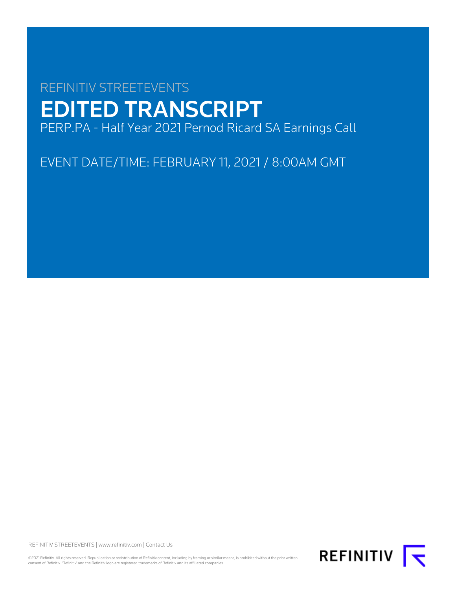# REFINITIV STREETEVENTS EDITED TRANSCRIPT PERP.PA - Half Year 2021 Pernod Ricard SA Earnings Call

EVENT DATE/TIME: FEBRUARY 11, 2021 / 8:00AM GMT

REFINITIV STREETEVENTS | [www.refinitiv.com](https://www.refinitiv.com/) | [Contact Us](https://www.refinitiv.com/en/contact-us)

©2021 Refinitiv. All rights reserved. Republication or redistribution of Refinitiv content, including by framing or similar means, is prohibited without the prior written consent of Refinitiv. 'Refinitiv' and the Refinitiv logo are registered trademarks of Refinitiv and its affiliated companies.

REFINITIV **I**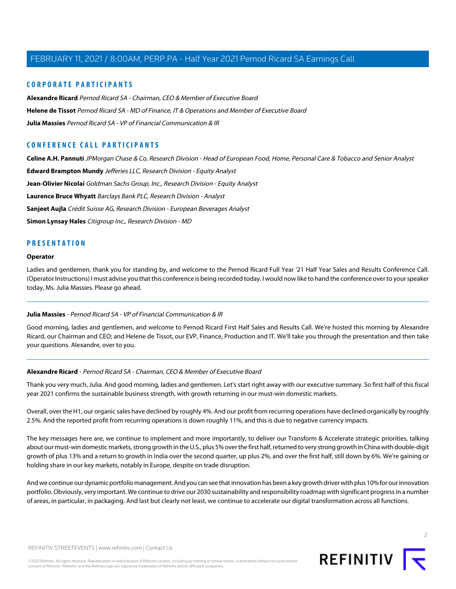## **CORPORATE PARTICIPANTS**

**[Alexandre Ricard](#page-1-0)** Pernod Ricard SA - Chairman, CEO & Member of Executive Board **[Helene de Tissot](#page-6-0)** Pernod Ricard SA - MD of Finance, IT & Operations and Member of Executive Board **[Julia Massies](#page-1-1)** Pernod Ricard SA - VP of Financial Communication & IR

## **CONFERENCE CALL PARTICIPANTS**

**[Celine A.H. Pannuti](#page-14-0)** JPMorgan Chase & Co, Research Division - Head of European Food, Home, Personal Care & Tobacco and Senior Analyst **[Edward Brampton Mundy](#page-10-0)** Jefferies LLC, Research Division - Equity Analyst **[Jean-Olivier Nicolai](#page-15-0)** Goldman Sachs Group, Inc., Research Division - Equity Analyst **[Laurence Bruce Whyatt](#page-12-0)** Barclays Bank PLC, Research Division - Analyst **[Sanjeet Aujla](#page-11-0)** Crédit Suisse AG, Research Division - European Beverages Analyst **[Simon Lynsay Hales](#page-8-0)** Citigroup Inc., Research Division - MD

## **PRESENTATION**

#### **Operator**

<span id="page-1-1"></span>Ladies and gentlemen, thank you for standing by, and welcome to the Pernod Ricard Full Year '21 Half Year Sales and Results Conference Call. (Operator Instructions) I must advise you that this conference is being recorded today. I would now like to hand the conference over to your speaker today, Ms. Julia Massies. Please go ahead.

#### **Julia Massies** - Pernod Ricard SA - VP of Financial Communication & IR

<span id="page-1-0"></span>Good morning, ladies and gentlemen, and welcome to Pernod Ricard First Half Sales and Results Call. We're hosted this morning by Alexandre Ricard, our Chairman and CEO; and Helene de Tissot, our EVP, Finance, Production and IT. We'll take you through the presentation and then take your questions. Alexandre, over to you.

#### **Alexandre Ricard** - Pernod Ricard SA - Chairman, CEO & Member of Executive Board

Thank you very much, Julia. And good morning, ladies and gentlemen. Let's start right away with our executive summary. So first half of this fiscal year 2021 confirms the sustainable business strength, with growth returning in our must-win domestic markets.

Overall, over the H1, our organic sales have declined by roughly 4%. And our profit from recurring operations have declined organically by roughly 2.5%. And the reported profit from recurring operations is down roughly 11%, and this is due to negative currency impacts.

The key messages here are, we continue to implement and more importantly, to deliver our Transform & Accelerate strategic priorities, talking about our must-win domestic markets, strong growth in the U.S., plus 5% over the first half, returned to very strong growth in China with double-digit growth of plus 13% and a return to growth in India over the second quarter, up plus 2%, and over the first half, still down by 6%. We're gaining or holding share in our key markets, notably in Europe, despite on trade disruption.

And we continue our dynamic portfolio management. And you can see that innovation has been a key growth driver with plus 10% for our innovation portfolio. Obviously, very important. We continue to drive our 2030 sustainability and responsibility roadmap with significant progress in a number of areas, in particular, in packaging. And last but clearly not least, we continue to accelerate our digital transformation across all functions.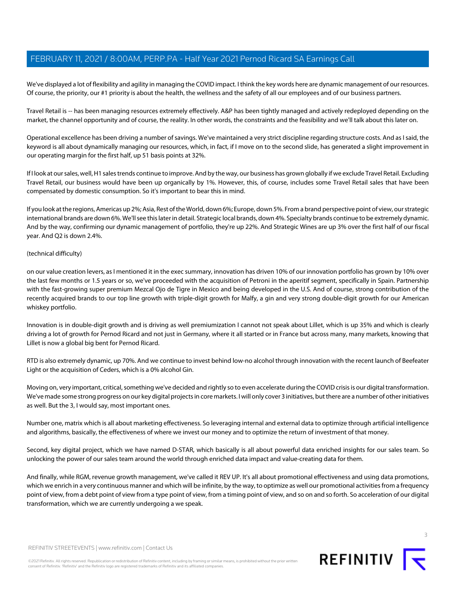We've displayed a lot of flexibility and agility in managing the COVID impact. I think the key words here are dynamic management of our resources. Of course, the priority, our #1 priority is about the health, the wellness and the safety of all our employees and of our business partners.

Travel Retail is -- has been managing resources extremely effectively. A&P has been tightly managed and actively redeployed depending on the market, the channel opportunity and of course, the reality. In other words, the constraints and the feasibility and we'll talk about this later on.

Operational excellence has been driving a number of savings. We've maintained a very strict discipline regarding structure costs. And as I said, the keyword is all about dynamically managing our resources, which, in fact, if I move on to the second slide, has generated a slight improvement in our operating margin for the first half, up 51 basis points at 32%.

If I look at our sales, well, H1 sales trends continue to improve. And by the way, our business has grown globally if we exclude Travel Retail. Excluding Travel Retail, our business would have been up organically by 1%. However, this, of course, includes some Travel Retail sales that have been compensated by domestic consumption. So it's important to bear this in mind.

If you look at the regions, Americas up 2%; Asia, Rest of the World, down 6%; Europe, down 5%. From a brand perspective point of view, our strategic international brands are down 6%. We'll see this later in detail. Strategic local brands, down 4%. Specialty brands continue to be extremely dynamic. And by the way, confirming our dynamic management of portfolio, they're up 22%. And Strategic Wines are up 3% over the first half of our fiscal year. And Q2 is down 2.4%.

#### (technical difficulty)

on our value creation levers, as I mentioned it in the exec summary, innovation has driven 10% of our innovation portfolio has grown by 10% over the last few months or 1.5 years or so, we've proceeded with the acquisition of Petroni in the aperitif segment, specifically in Spain. Partnership with the fast-growing super premium Mezcal Ojo de Tigre in Mexico and being developed in the U.S. And of course, strong contribution of the recently acquired brands to our top line growth with triple-digit growth for Malfy, a gin and very strong double-digit growth for our American whiskey portfolio.

Innovation is in double-digit growth and is driving as well premiumization I cannot not speak about Lillet, which is up 35% and which is clearly driving a lot of growth for Pernod Ricard and not just in Germany, where it all started or in France but across many, many markets, knowing that Lillet is now a global big bent for Pernod Ricard.

RTD is also extremely dynamic, up 70%. And we continue to invest behind low-no alcohol through innovation with the recent launch of Beefeater Light or the acquisition of Ceders, which is a 0% alcohol Gin.

Moving on, very important, critical, something we've decided and rightly so to even accelerate during the COVID crisis is our digital transformation. We've made some strong progress on our key digital projects in core markets. I will only cover 3 initiatives, but there are a number of other initiatives as well. But the 3, I would say, most important ones.

Number one, matrix which is all about marketing effectiveness. So leveraging internal and external data to optimize through artificial intelligence and algorithms, basically, the effectiveness of where we invest our money and to optimize the return of investment of that money.

Second, key digital project, which we have named D-STAR, which basically is all about powerful data enriched insights for our sales team. So unlocking the power of our sales team around the world through enriched data impact and value-creating data for them.

And finally, while RGM, revenue growth management, we've called it REV UP. It's all about promotional effectiveness and using data promotions, which we enrich in a very continuous manner and which will be infinite, by the way, to optimize as well our promotional activities from a frequency point of view, from a debt point of view from a type point of view, from a timing point of view, and so on and so forth. So acceleration of our digital transformation, which we are currently undergoing a we speak.



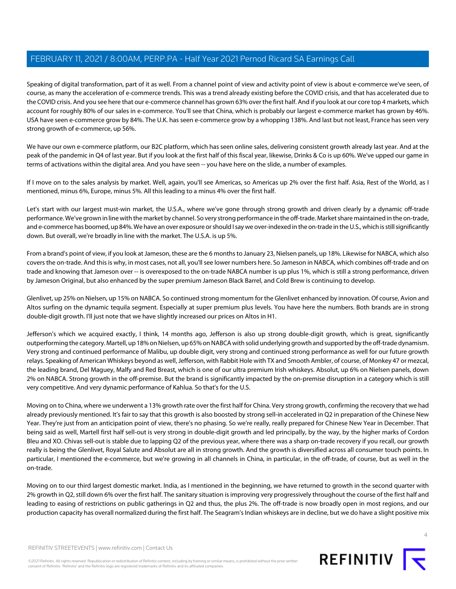Speaking of digital transformation, part of it as well. From a channel point of view and activity point of view is about e-commerce we've seen, of course, as many the acceleration of e-commerce trends. This was a trend already existing before the COVID crisis, and that has accelerated due to the COVID crisis. And you see here that our e-commerce channel has grown 63% over the first half. And if you look at our core top 4 markets, which account for roughly 80% of our sales in e-commerce. You'll see that China, which is probably our largest e-commerce market has grown by 46%. USA have seen e-commerce grow by 84%. The U.K. has seen e-commerce grow by a whopping 138%. And last but not least, France has seen very strong growth of e-commerce, up 56%.

We have our own e-commerce platform, our B2C platform, which has seen online sales, delivering consistent growth already last year. And at the peak of the pandemic in Q4 of last year. But if you look at the first half of this fiscal year, likewise, Drinks & Co is up 60%. We've upped our game in terms of activations within the digital area. And you have seen -- you have here on the slide, a number of examples.

If I move on to the sales analysis by market. Well, again, you'll see Americas, so Americas up 2% over the first half. Asia, Rest of the World, as I mentioned, minus 6%, Europe, minus 5%. All this leading to a minus 4% over the first half.

Let's start with our largest must-win market, the U.S.A., where we've gone through strong growth and driven clearly by a dynamic off-trade performance. We've grown in line with the market by channel. So very strong performance in the off-trade. Market share maintained in the on-trade, and e-commerce has boomed, up 84%. We have an over exposure or should I say we over-indexed in the on-trade in the U.S., which is still significantly down. But overall, we're broadly in line with the market. The U.S.A. is up 5%.

From a brand's point of view, if you look at Jameson, these are the 6 months to January 23, Nielsen panels, up 18%. Likewise for NABCA, which also covers the on-trade. And this is why, in most cases, not all, you'll see lower numbers here. So Jameson in NABCA, which combines off-trade and on trade and knowing that Jameson over -- is overexposed to the on-trade NABCA number is up plus 1%, which is still a strong performance, driven by Jameson Original, but also enhanced by the super premium Jameson Black Barrel, and Cold Brew is continuing to develop.

Glenlivet, up 25% on Nielsen, up 15% on NABCA. So continued strong momentum for the Glenlivet enhanced by innovation. Of course, Avion and Altos surfing on the dynamic tequila segment. Especially at super premium plus levels. You have here the numbers. Both brands are in strong double-digit growth. I'll just note that we have slightly increased our prices on Altos in H1.

Jefferson's which we acquired exactly, I think, 14 months ago, Jefferson is also up strong double-digit growth, which is great, significantly outperforming the category. Martell, up 18% on Nielsen, up 65% on NABCA with solid underlying growth and supported by the off-trade dynamism. Very strong and continued performance of Malibu, up double digit, very strong and continued strong performance as well for our future growth relays. Speaking of American Whiskeys beyond as well, Jefferson, with Rabbit Hole with TX and Smooth Ambler, of course, of Monkey 47 or mezcal, the leading brand, Del Maguey, Malfy and Red Breast, which is one of our ultra premium Irish whiskeys. Absolut, up 6% on Nielsen panels, down 2% on NABCA. Strong growth in the off-premise. But the brand is significantly impacted by the on-premise disruption in a category which is still very competitive. And very dynamic performance of Kahlua. So that's for the U.S.

Moving on to China, where we underwent a 13% growth rate over the first half for China. Very strong growth, confirming the recovery that we had already previously mentioned. It's fair to say that this growth is also boosted by strong sell-in accelerated in Q2 in preparation of the Chinese New Year. They're just from an anticipation point of view, there's no phasing. So we're really, really prepared for Chinese New Year in December. That being said as well, Martell first half sell-out is very strong in double-digit growth and led principally, by the way, by the higher marks of Cordon Bleu and XO. Chivas sell-out is stable due to lapping Q2 of the previous year, where there was a sharp on-trade recovery if you recall, our growth really is being the Glenlivet, Royal Salute and Absolut are all in strong growth. And the growth is diversified across all consumer touch points. In particular, I mentioned the e-commerce, but we're growing in all channels in China, in particular, in the off-trade, of course, but as well in the on-trade.

Moving on to our third largest domestic market. India, as I mentioned in the beginning, we have returned to growth in the second quarter with 2% growth in Q2, still down 6% over the first half. The sanitary situation is improving very progressively throughout the course of the first half and leading to easing of restrictions on public gatherings in Q2 and thus, the plus 2%. The off-trade is now broadly open in most regions, and our production capacity has overall normalized during the first half. The Seagram's Indian whiskeys are in decline, but we do have a slight positive mix

©2021 Refinitiv. All rights reserved. Republication or redistribution of Refinitiv content, including by framing or similar means, is prohibited without the prior written consent of Refinitiv. 'Refinitiv' and the Refinitiv logo are registered trademarks of Refinitiv and its affiliated companies.



 $\Delta$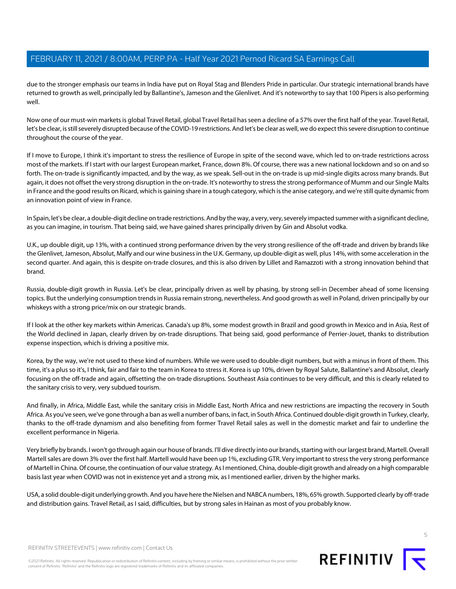due to the stronger emphasis our teams in India have put on Royal Stag and Blenders Pride in particular. Our strategic international brands have returned to growth as well, principally led by Ballantine's, Jameson and the Glenlivet. And it's noteworthy to say that 100 Pipers is also performing well.

Now one of our must-win markets is global Travel Retail, global Travel Retail has seen a decline of a 57% over the first half of the year. Travel Retail, let's be clear, is still severely disrupted because of the COVID-19 restrictions. And let's be clear as well, we do expect this severe disruption to continue throughout the course of the year.

If I move to Europe, I think it's important to stress the resilience of Europe in spite of the second wave, which led to on-trade restrictions across most of the markets. If I start with our largest European market, France, down 8%. Of course, there was a new national lockdown and so on and so forth. The on-trade is significantly impacted, and by the way, as we speak. Sell-out in the on-trade is up mid-single digits across many brands. But again, it does not offset the very strong disruption in the on-trade. It's noteworthy to stress the strong performance of Mumm and our Single Malts in France and the good results on Ricard, which is gaining share in a tough category, which is the anise category, and we're still quite dynamic from an innovation point of view in France.

In Spain, let's be clear, a double-digit decline on trade restrictions. And by the way, a very, very, severely impacted summer with a significant decline, as you can imagine, in tourism. That being said, we have gained shares principally driven by Gin and Absolut vodka.

U.K., up double digit, up 13%, with a continued strong performance driven by the very strong resilience of the off-trade and driven by brands like the Glenlivet, Jameson, Absolut, Malfy and our wine business in the U.K. Germany, up double-digit as well, plus 14%, with some acceleration in the second quarter. And again, this is despite on-trade closures, and this is also driven by Lillet and Ramazzoti with a strong innovation behind that brand.

Russia, double-digit growth in Russia. Let's be clear, principally driven as well by phasing, by strong sell-in December ahead of some licensing topics. But the underlying consumption trends in Russia remain strong, nevertheless. And good growth as well in Poland, driven principally by our whiskeys with a strong price/mix on our strategic brands.

If I look at the other key markets within Americas. Canada's up 8%, some modest growth in Brazil and good growth in Mexico and in Asia, Rest of the World declined in Japan, clearly driven by on-trade disruptions. That being said, good performance of Perrier-Jouet, thanks to distribution expense inspection, which is driving a positive mix.

Korea, by the way, we're not used to these kind of numbers. While we were used to double-digit numbers, but with a minus in front of them. This time, it's a plus so it's, I think, fair and fair to the team in Korea to stress it. Korea is up 10%, driven by Royal Salute, Ballantine's and Absolut, clearly focusing on the off-trade and again, offsetting the on-trade disruptions. Southeast Asia continues to be very difficult, and this is clearly related to the sanitary crisis to very, very subdued tourism.

And finally, in Africa, Middle East, while the sanitary crisis in Middle East, North Africa and new restrictions are impacting the recovery in South Africa. As you've seen, we've gone through a ban as well a number of bans, in fact, in South Africa. Continued double-digit growth in Turkey, clearly, thanks to the off-trade dynamism and also benefiting from former Travel Retail sales as well in the domestic market and fair to underline the excellent performance in Nigeria.

Very briefly by brands. I won't go through again our house of brands. I'll dive directly into our brands, starting with our largest brand, Martell. Overall Martell sales are down 3% over the first half. Martell would have been up 1%, excluding GTR. Very important to stress the very strong performance of Martell in China. Of course, the continuation of our value strategy. As I mentioned, China, double-digit growth and already on a high comparable basis last year when COVID was not in existence yet and a strong mix, as I mentioned earlier, driven by the higher marks.

USA, a solid double-digit underlying growth. And you have here the Nielsen and NABCA numbers, 18%, 65% growth. Supported clearly by off-trade and distribution gains. Travel Retail, as I said, difficulties, but by strong sales in Hainan as most of you probably know.

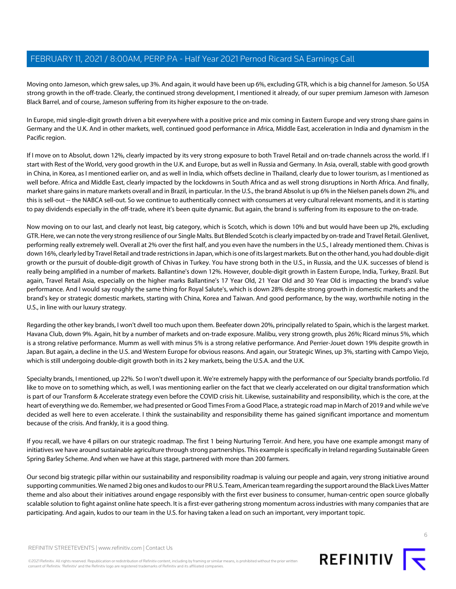Moving onto Jameson, which grew sales, up 3%. And again, it would have been up 6%, excluding GTR, which is a big channel for Jameson. So USA strong growth in the off-trade. Clearly, the continued strong development, I mentioned it already, of our super premium Jameson with Jameson Black Barrel, and of course, Jameson suffering from its higher exposure to the on-trade.

In Europe, mid single-digit growth driven a bit everywhere with a positive price and mix coming in Eastern Europe and very strong share gains in Germany and the U.K. And in other markets, well, continued good performance in Africa, Middle East, acceleration in India and dynamism in the Pacific region.

If I move on to Absolut, down 12%, clearly impacted by its very strong exposure to both Travel Retail and on-trade channels across the world. If I start with Rest of the World, very good growth in the U.K. and Europe, but as well in Russia and Germany. In Asia, overall, stable with good growth in China, in Korea, as I mentioned earlier on, and as well in India, which offsets decline in Thailand, clearly due to lower tourism, as I mentioned as well before. Africa and Middle East, clearly impacted by the lockdowns in South Africa and as well strong disruptions in North Africa. And finally, market share gains in mature markets overall and in Brazil, in particular. In the U.S., the brand Absolut is up 6% in the Nielsen panels down 2%, and this is sell-out -- the NABCA sell-out. So we continue to authentically connect with consumers at very cultural relevant moments, and it is starting to pay dividends especially in the off-trade, where it's been quite dynamic. But again, the brand is suffering from its exposure to the on-trade.

Now moving on to our last, and clearly not least, big category, which is Scotch, which is down 10% and but would have been up 2%, excluding GTR. Here, we can note the very strong resilience of our Single Malts. But Blended Scotch is clearly impacted by on-trade and Travel Retail. Glenlivet, performing really extremely well. Overall at 2% over the first half, and you even have the numbers in the U.S., I already mentioned them. Chivas is down 16%, clearly led by Travel Retail and trade restrictions in Japan, which is one of its largest markets. But on the other hand, you had double-digit growth or the pursuit of double-digit growth of Chivas in Turkey. You have strong both in the U.S., in Russia, and the U.K. successes of blend is really being amplified in a number of markets. Ballantine's down 12%. However, double-digit growth in Eastern Europe, India, Turkey, Brazil. But again, Travel Retail Asia, especially on the higher marks Ballantine's 17 Year Old, 21 Year Old and 30 Year Old is impacting the brand's value performance. And I would say roughly the same thing for Royal Salute's, which is down 28% despite strong growth in domestic markets and the brand's key or strategic domestic markets, starting with China, Korea and Taiwan. And good performance, by the way, worthwhile noting in the U.S., in line with our luxury strategy.

Regarding the other key brands, I won't dwell too much upon them. Beefeater down 20%, principally related to Spain, which is the largest market. Havana Club, down 9%. Again, hit by a number of markets and on-trade exposure. Malibu, very strong growth, plus 26%; Ricard minus 5%, which is a strong relative performance. Mumm as well with minus 5% is a strong relative performance. And Perrier-Jouet down 19% despite growth in Japan. But again, a decline in the U.S. and Western Europe for obvious reasons. And again, our Strategic Wines, up 3%, starting with Campo Viejo, which is still undergoing double-digit growth both in its 2 key markets, being the U.S.A. and the U.K.

Specialty brands, I mentioned, up 22%. So I won't dwell upon it. We're extremely happy with the performance of our Specialty brands portfolio. I'd like to move on to something which, as well, I was mentioning earlier on the fact that we clearly accelerated on our digital transformation which is part of our Transform & Accelerate strategy even before the COVID crisis hit. Likewise, sustainability and responsibility, which is the core, at the heart of everything we do. Remember, we had presented or Good Times From a Good Place, a strategic road map in March of 2019 and while we've decided as well here to even accelerate. I think the sustainability and responsibility theme has gained significant importance and momentum because of the crisis. And frankly, it is a good thing.

If you recall, we have 4 pillars on our strategic roadmap. The first 1 being Nurturing Terroir. And here, you have one example amongst many of initiatives we have around sustainable agriculture through strong partnerships. This example is specifically in Ireland regarding Sustainable Green Spring Barley Scheme. And when we have at this stage, partnered with more than 200 farmers.

Our second big strategic pillar within our sustainability and responsibility roadmap is valuing our people and again, very strong initiative around supporting communities. We named 2 big ones and kudos to our PR U.S. Team, American team regarding the support around the Black Lives Matter theme and also about their initiatives around engage responsibly with the first ever business to consumer, human-centric open source globally scalable solution to fight against online hate speech. It is a first-ever gathering strong momentum across industries with many companies that are participating. And again, kudos to our team in the U.S. for having taken a lead on such an important, very important topic.

REFINITIV STREETEVENTS | [www.refinitiv.com](https://www.refinitiv.com/) | [Contact Us](https://www.refinitiv.com/en/contact-us)

©2021 Refinitiv. All rights reserved. Republication or redistribution of Refinitiv content, including by framing or similar means, is prohibited without the prior written consent of Refinitiv. 'Refinitiv' and the Refinitiv logo are registered trademarks of Refinitiv and its affiliated companies.

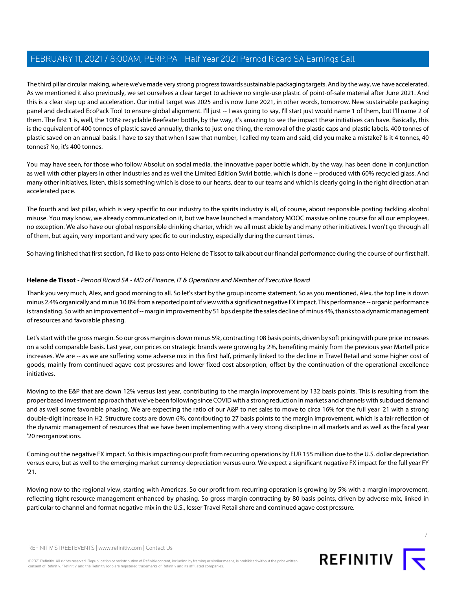The third pillar circular making, where we've made very strong progress towards sustainable packaging targets. And by the way, we have accelerated. As we mentioned it also previously, we set ourselves a clear target to achieve no single-use plastic of point-of-sale material after June 2021. And this is a clear step up and acceleration. Our initial target was 2025 and is now June 2021, in other words, tomorrow. New sustainable packaging panel and dedicated EcoPack Tool to ensure global alignment. I'll just -- I was going to say, I'll start just would name 1 of them, but I'll name 2 of them. The first 1 is, well, the 100% recyclable Beefeater bottle, by the way, it's amazing to see the impact these initiatives can have. Basically, this is the equivalent of 400 tonnes of plastic saved annually, thanks to just one thing, the removal of the plastic caps and plastic labels. 400 tonnes of plastic saved on an annual basis. I have to say that when I saw that number, I called my team and said, did you make a mistake? Is it 4 tonnes, 40 tonnes? No, it's 400 tonnes.

You may have seen, for those who follow Absolut on social media, the innovative paper bottle which, by the way, has been done in conjunction as well with other players in other industries and as well the Limited Edition Swirl bottle, which is done -- produced with 60% recycled glass. And many other initiatives, listen, this is something which is close to our hearts, dear to our teams and which is clearly going in the right direction at an accelerated pace.

The fourth and last pillar, which is very specific to our industry to the spirits industry is all, of course, about responsible posting tackling alcohol misuse. You may know, we already communicated on it, but we have launched a mandatory MOOC massive online course for all our employees, no exception. We also have our global responsible drinking charter, which we all must abide by and many other initiatives. I won't go through all of them, but again, very important and very specific to our industry, especially during the current times.

<span id="page-6-0"></span>So having finished that first section, I'd like to pass onto Helene de Tissot to talk about our financial performance during the course of our first half.

## **Helene de Tissot** - Pernod Ricard SA - MD of Finance, IT & Operations and Member of Executive Board

Thank you very much, Alex, and good morning to all. So let's start by the group income statement. So as you mentioned, Alex, the top line is down minus 2.4% organically and minus 10.8% from a reported point of view with a significant negative FX impact. This performance -- organic performance is translating. So with an improvement of -- margin improvement by 51 bps despite the sales decline of minus 4%, thanks to a dynamic management of resources and favorable phasing.

Let's start with the gross margin. So our gross margin is down minus 5%, contracting 108 basis points, driven by soft pricing with pure price increases on a solid comparable basis. Last year, our prices on strategic brands were growing by 2%, benefiting mainly from the previous year Martell price increases. We are -- as we are suffering some adverse mix in this first half, primarily linked to the decline in Travel Retail and some higher cost of goods, mainly from continued agave cost pressures and lower fixed cost absorption, offset by the continuation of the operational excellence initiatives.

Moving to the E&P that are down 12% versus last year, contributing to the margin improvement by 132 basis points. This is resulting from the proper based investment approach that we've been following since COVID with a strong reduction in markets and channels with subdued demand and as well some favorable phasing. We are expecting the ratio of our A&P to net sales to move to circa 16% for the full year '21 with a strong double-digit increase in H2. Structure costs are down 6%, contributing to 27 basis points to the margin improvement, which is a fair reflection of the dynamic management of resources that we have been implementing with a very strong discipline in all markets and as well as the fiscal year '20 reorganizations.

Coming out the negative FX impact. So this is impacting our profit from recurring operations by EUR 155 million due to the U.S. dollar depreciation versus euro, but as well to the emerging market currency depreciation versus euro. We expect a significant negative FX impact for the full year FY '21.

Moving now to the regional view, starting with Americas. So our profit from recurring operation is growing by 5% with a margin improvement, reflecting tight resource management enhanced by phasing. So gross margin contracting by 80 basis points, driven by adverse mix, linked in particular to channel and format negative mix in the U.S., lesser Travel Retail share and continued agave cost pressure.



7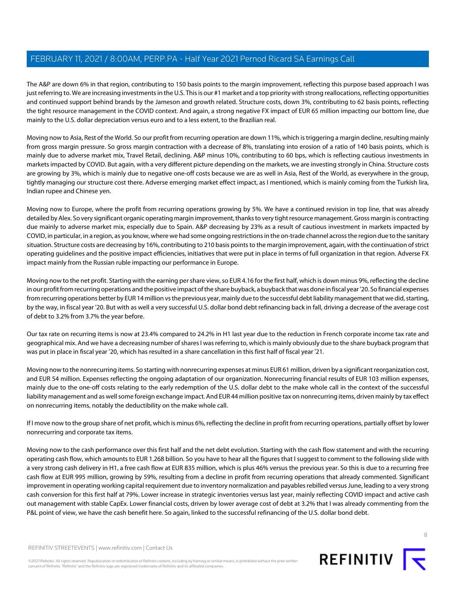The A&P are down 6% in that region, contributing to 150 basis points to the margin improvement, reflecting this purpose based approach I was just referring to. We are increasing investments in the U.S. This is our #1 market and a top priority with strong reallocations, reflecting opportunities and continued support behind brands by the Jameson and growth related. Structure costs, down 3%, contributing to 62 basis points, reflecting the tight resource management in the COVID context. And again, a strong negative FX impact of EUR 65 million impacting our bottom line, due mainly to the U.S. dollar depreciation versus euro and to a less extent, to the Brazilian real.

Moving now to Asia, Rest of the World. So our profit from recurring operation are down 11%, which is triggering a margin decline, resulting mainly from gross margin pressure. So gross margin contraction with a decrease of 8%, translating into erosion of a ratio of 140 basis points, which is mainly due to adverse market mix, Travel Retail, declining. A&P minus 10%, contributing to 60 bps, which is reflecting cautious investments in markets impacted by COVID. But again, with a very different picture depending on the markets, we are investing strongly in China. Structure costs are growing by 3%, which is mainly due to negative one-off costs because we are as well in Asia, Rest of the World, as everywhere in the group, tightly managing our structure cost there. Adverse emerging market effect impact, as I mentioned, which is mainly coming from the Turkish lira, Indian rupee and Chinese yen.

Moving now to Europe, where the profit from recurring operations growing by 5%. We have a continued revision in top line, that was already detailed by Alex. So very significant organic operating margin improvement, thanks to very tight resource management. Gross margin is contracting due mainly to adverse market mix, especially due to Spain. A&P decreasing by 23% as a result of cautious investment in markets impacted by COVID, in particular, in a region, as you know, where we had some ongoing restrictions in the on-trade channel across the region due to the sanitary situation. Structure costs are decreasing by 16%, contributing to 210 basis points to the margin improvement, again, with the continuation of strict operating guidelines and the positive impact efficiencies, initiatives that were put in place in terms of full organization in that region. Adverse FX impact mainly from the Russian ruble impacting our performance in Europe.

Moving now to the net profit. Starting with the earning per share view, so EUR 4.16 for the first half, which is down minus 9%, reflecting the decline in our profit from recurring operations and the positive impact of the share buyback, a buyback that was done in fiscal year '20. So financial expenses from recurring operations better by EUR 14 million vs the previous year, mainly due to the successful debt liability management that we did, starting, by the way, in fiscal year '20. But with as well a very successful U.S. dollar bond debt refinancing back in fall, driving a decrease of the average cost of debt to 3.2% from 3.7% the year before.

Our tax rate on recurring items is now at 23.4% compared to 24.2% in H1 last year due to the reduction in French corporate income tax rate and geographical mix. And we have a decreasing number of shares I was referring to, which is mainly obviously due to the share buyback program that was put in place in fiscal year '20, which has resulted in a share cancellation in this first half of fiscal year '21.

Moving now to the nonrecurring items. So starting with nonrecurring expenses at minus EUR 61 million, driven by a significant reorganization cost, and EUR 54 million. Expenses reflecting the ongoing adaptation of our organization. Nonrecurring financial results of EUR 103 million expenses, mainly due to the one-off costs relating to the early redemption of the U.S. dollar debt to the make whole call in the context of the successful liability management and as well some foreign exchange impact. And EUR 44 million positive tax on nonrecurring items, driven mainly by tax effect on nonrecurring items, notably the deductibility on the make whole call.

If I move now to the group share of net profit, which is minus 6%, reflecting the decline in profit from recurring operations, partially offset by lower nonrecurring and corporate tax items.

Moving now to the cash performance over this first half and the net debt evolution. Starting with the cash flow statement and with the recurring operating cash flow, which amounts to EUR 1.268 billion. So you have to hear all the figures that I suggest to comment to the following slide with a very strong cash delivery in H1, a free cash flow at EUR 835 million, which is plus 46% versus the previous year. So this is due to a recurring free cash flow at EUR 995 million, growing by 59%, resulting from a decline in profit from recurring operations that already commented. Significant improvement in operating working capital requirement due to inventory normalization and payables rebilled versus June, leading to a very strong cash conversion for this first half at 79%. Lower increase in strategic inventories versus last year, mainly reflecting COVID impact and active cash out management with stable CapEx. Lower financial costs, driven by lower average cost of debt at 3.2% that I was already commenting from the P&L point of view, we have the cash benefit here. So again, linked to the successful refinancing of the U.S. dollar bond debt.

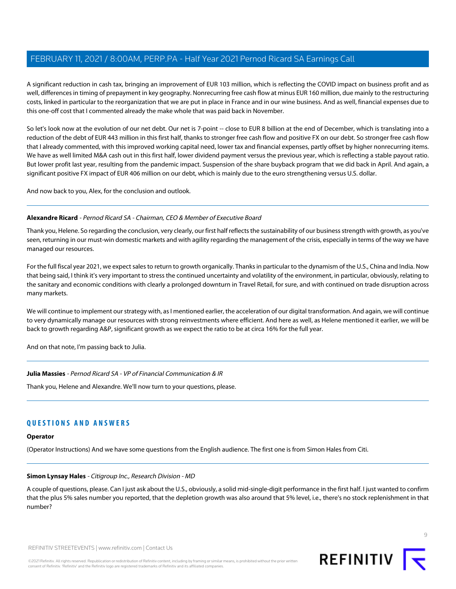A significant reduction in cash tax, bringing an improvement of EUR 103 million, which is reflecting the COVID impact on business profit and as well, differences in timing of prepayment in key geography. Nonrecurring free cash flow at minus EUR 160 million, due mainly to the restructuring costs, linked in particular to the reorganization that we are put in place in France and in our wine business. And as well, financial expenses due to this one-off cost that I commented already the make whole that was paid back in November.

So let's look now at the evolution of our net debt. Our net is 7-point -- close to EUR 8 billion at the end of December, which is translating into a reduction of the debt of EUR 443 million in this first half, thanks to stronger free cash flow and positive FX on our debt. So stronger free cash flow that I already commented, with this improved working capital need, lower tax and financial expenses, partly offset by higher nonrecurring items. We have as well limited M&A cash out in this first half, lower dividend payment versus the previous year, which is reflecting a stable payout ratio. But lower profit last year, resulting from the pandemic impact. Suspension of the share buyback program that we did back in April. And again, a significant positive FX impact of EUR 406 million on our debt, which is mainly due to the euro strengthening versus U.S. dollar.

And now back to you, Alex, for the conclusion and outlook.

#### **Alexandre Ricard** - Pernod Ricard SA - Chairman, CEO & Member of Executive Board

Thank you, Helene. So regarding the conclusion, very clearly, our first half reflects the sustainability of our business strength with growth, as you've seen, returning in our must-win domestic markets and with agility regarding the management of the crisis, especially in terms of the way we have managed our resources.

For the full fiscal year 2021, we expect sales to return to growth organically. Thanks in particular to the dynamism of the U.S., China and India. Now that being said, I think it's very important to stress the continued uncertainty and volatility of the environment, in particular, obviously, relating to the sanitary and economic conditions with clearly a prolonged downturn in Travel Retail, for sure, and with continued on trade disruption across many markets.

We will continue to implement our strategy with, as I mentioned earlier, the acceleration of our digital transformation. And again, we will continue to very dynamically manage our resources with strong reinvestments where efficient. And here as well, as Helene mentioned it earlier, we will be back to growth regarding A&P, significant growth as we expect the ratio to be at circa 16% for the full year.

And on that note, I'm passing back to Julia.

**Julia Massies** - Pernod Ricard SA - VP of Financial Communication & IR

Thank you, Helene and Alexandre. We'll now turn to your questions, please.

## <span id="page-8-0"></span>**QUESTIONS AND ANSWERS**

#### **Operator**

(Operator Instructions) And we have some questions from the English audience. The first one is from Simon Hales from Citi.

#### **Simon Lynsay Hales** - Citigroup Inc., Research Division - MD

A couple of questions, please. Can I just ask about the U.S., obviously, a solid mid-single-digit performance in the first half. I just wanted to confirm that the plus 5% sales number you reported, that the depletion growth was also around that 5% level, i.e., there's no stock replenishment in that number?

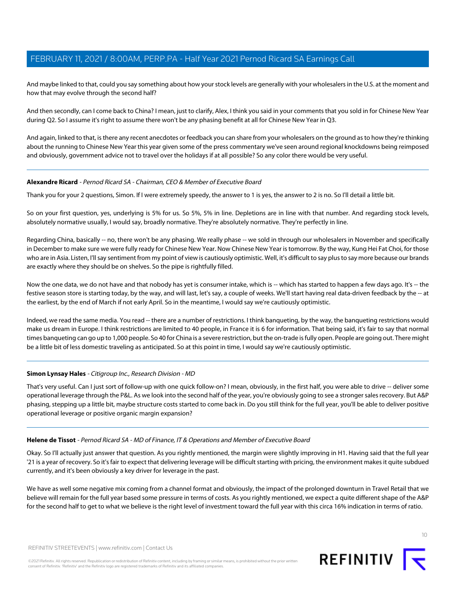And maybe linked to that, could you say something about how your stock levels are generally with your wholesalers in the U.S. at the moment and how that may evolve through the second half?

And then secondly, can I come back to China? I mean, just to clarify, Alex, I think you said in your comments that you sold in for Chinese New Year during Q2. So I assume it's right to assume there won't be any phasing benefit at all for Chinese New Year in Q3.

And again, linked to that, is there any recent anecdotes or feedback you can share from your wholesalers on the ground as to how they're thinking about the running to Chinese New Year this year given some of the press commentary we've seen around regional knockdowns being reimposed and obviously, government advice not to travel over the holidays if at all possible? So any color there would be very useful.

#### **Alexandre Ricard** - Pernod Ricard SA - Chairman, CEO & Member of Executive Board

Thank you for your 2 questions, Simon. If I were extremely speedy, the answer to 1 is yes, the answer to 2 is no. So I'll detail a little bit.

So on your first question, yes, underlying is 5% for us. So 5%, 5% in line. Depletions are in line with that number. And regarding stock levels, absolutely normative usually, I would say, broadly normative. They're absolutely normative. They're perfectly in line.

Regarding China, basically -- no, there won't be any phasing. We really phase -- we sold in through our wholesalers in November and specifically in December to make sure we were fully ready for Chinese New Year. Now Chinese New Year is tomorrow. By the way, Kung Hei Fat Choi, for those who are in Asia. Listen, I'll say sentiment from my point of view is cautiously optimistic. Well, it's difficult to say plus to say more because our brands are exactly where they should be on shelves. So the pipe is rightfully filled.

Now the one data, we do not have and that nobody has yet is consumer intake, which is -- which has started to happen a few days ago. It's -- the festive season store is starting today, by the way, and will last, let's say, a couple of weeks. We'll start having real data-driven feedback by the -- at the earliest, by the end of March if not early April. So in the meantime, I would say we're cautiously optimistic.

Indeed, we read the same media. You read -- there are a number of restrictions. I think banqueting, by the way, the banqueting restrictions would make us dream in Europe. I think restrictions are limited to 40 people, in France it is 6 for information. That being said, it's fair to say that normal times banqueting can go up to 1,000 people. So 40 for China is a severe restriction, but the on-trade is fully open. People are going out. There might be a little bit of less domestic traveling as anticipated. So at this point in time, I would say we're cautiously optimistic.

#### **Simon Lynsay Hales** - Citigroup Inc., Research Division - MD

That's very useful. Can I just sort of follow-up with one quick follow-on? I mean, obviously, in the first half, you were able to drive -- deliver some operational leverage through the P&L. As we look into the second half of the year, you're obviously going to see a stronger sales recovery. But A&P phasing, stepping up a little bit, maybe structure costs started to come back in. Do you still think for the full year, you'll be able to deliver positive operational leverage or positive organic margin expansion?

#### **Helene de Tissot** - Pernod Ricard SA - MD of Finance, IT & Operations and Member of Executive Board

Okay. So I'll actually just answer that question. As you rightly mentioned, the margin were slightly improving in H1. Having said that the full year '21 is a year of recovery. So it's fair to expect that delivering leverage will be difficult starting with pricing, the environment makes it quite subdued currently, and it's been obviously a key driver for leverage in the past.

We have as well some negative mix coming from a channel format and obviously, the impact of the prolonged downturn in Travel Retail that we believe will remain for the full year based some pressure in terms of costs. As you rightly mentioned, we expect a quite different shape of the A&P for the second half to get to what we believe is the right level of investment toward the full year with this circa 16% indication in terms of ratio.

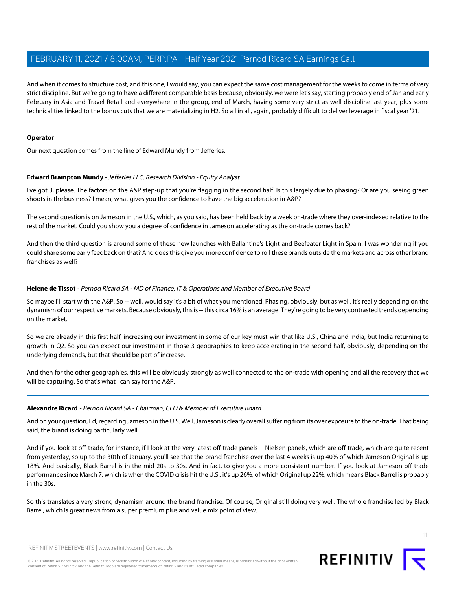And when it comes to structure cost, and this one, I would say, you can expect the same cost management for the weeks to come in terms of very strict discipline. But we're going to have a different comparable basis because, obviously, we were let's say, starting probably end of Jan and early February in Asia and Travel Retail and everywhere in the group, end of March, having some very strict as well discipline last year, plus some technicalities linked to the bonus cuts that we are materializing in H2. So all in all, again, probably difficult to deliver leverage in fiscal year '21.

#### **Operator**

<span id="page-10-0"></span>Our next question comes from the line of Edward Mundy from Jefferies.

#### **Edward Brampton Mundy** - Jefferies LLC, Research Division - Equity Analyst

I've got 3, please. The factors on the A&P step-up that you're flagging in the second half. Is this largely due to phasing? Or are you seeing green shoots in the business? I mean, what gives you the confidence to have the big acceleration in A&P?

The second question is on Jameson in the U.S., which, as you said, has been held back by a week on-trade where they over-indexed relative to the rest of the market. Could you show you a degree of confidence in Jameson accelerating as the on-trade comes back?

And then the third question is around some of these new launches with Ballantine's Light and Beefeater Light in Spain. I was wondering if you could share some early feedback on that? And does this give you more confidence to roll these brands outside the markets and across other brand franchises as well?

#### **Helene de Tissot** - Pernod Ricard SA - MD of Finance, IT & Operations and Member of Executive Board

So maybe I'll start with the A&P. So -- well, would say it's a bit of what you mentioned. Phasing, obviously, but as well, it's really depending on the dynamism of our respective markets. Because obviously, this is -- this circa 16% is an average. They're going to be very contrasted trends depending on the market.

So we are already in this first half, increasing our investment in some of our key must-win that like U.S., China and India, but India returning to growth in Q2. So you can expect our investment in those 3 geographies to keep accelerating in the second half, obviously, depending on the underlying demands, but that should be part of increase.

And then for the other geographies, this will be obviously strongly as well connected to the on-trade with opening and all the recovery that we will be capturing. So that's what I can say for the A&P.

#### **Alexandre Ricard** - Pernod Ricard SA - Chairman, CEO & Member of Executive Board

And on your question, Ed, regarding Jameson in the U.S. Well, Jameson is clearly overall suffering from its over exposure to the on-trade. That being said, the brand is doing particularly well.

And if you look at off-trade, for instance, if I look at the very latest off-trade panels -- Nielsen panels, which are off-trade, which are quite recent from yesterday, so up to the 30th of January, you'll see that the brand franchise over the last 4 weeks is up 40% of which Jameson Original is up 18%. And basically, Black Barrel is in the mid-20s to 30s. And in fact, to give you a more consistent number. If you look at Jameson off-trade performance since March 7, which is when the COVID crisis hit the U.S., it's up 26%, of which Original up 22%, which means Black Barrel is probably in the 30s.

So this translates a very strong dynamism around the brand franchise. Of course, Original still doing very well. The whole franchise led by Black Barrel, which is great news from a super premium plus and value mix point of view.

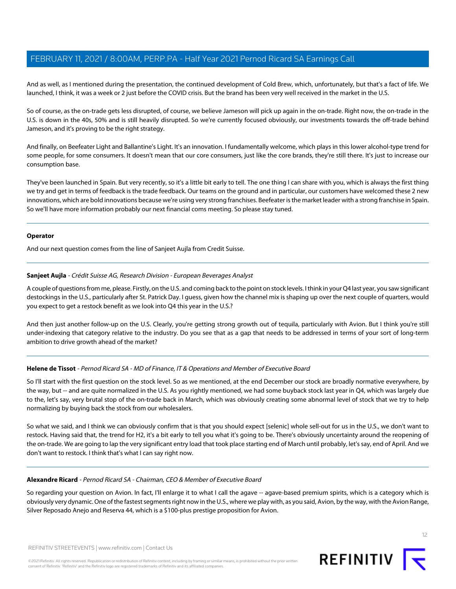And as well, as I mentioned during the presentation, the continued development of Cold Brew, which, unfortunately, but that's a fact of life. We launched, I think, it was a week or 2 just before the COVID crisis. But the brand has been very well received in the market in the U.S.

So of course, as the on-trade gets less disrupted, of course, we believe Jameson will pick up again in the on-trade. Right now, the on-trade in the U.S. is down in the 40s, 50% and is still heavily disrupted. So we're currently focused obviously, our investments towards the off-trade behind Jameson, and it's proving to be the right strategy.

And finally, on Beefeater Light and Ballantine's Light. It's an innovation. I fundamentally welcome, which plays in this lower alcohol-type trend for some people, for some consumers. It doesn't mean that our core consumers, just like the core brands, they're still there. It's just to increase our consumption base.

They've been launched in Spain. But very recently, so it's a little bit early to tell. The one thing I can share with you, which is always the first thing we try and get in terms of feedback is the trade feedback. Our teams on the ground and in particular, our customers have welcomed these 2 new innovations, which are bold innovations because we're using very strong franchises. Beefeater is the market leader with a strong franchise in Spain. So we'll have more information probably our next financial coms meeting. So please stay tuned.

#### **Operator**

<span id="page-11-0"></span>And our next question comes from the line of Sanjeet Aujla from Credit Suisse.

#### **Sanjeet Aujla** - Crédit Suisse AG, Research Division - European Beverages Analyst

A couple of questions from me, please. Firstly, on the U.S. and coming back to the point on stock levels. I think in your Q4 last year, you saw significant destockings in the U.S., particularly after St. Patrick Day. I guess, given how the channel mix is shaping up over the next couple of quarters, would you expect to get a restock benefit as we look into Q4 this year in the U.S.?

And then just another follow-up on the U.S. Clearly, you're getting strong growth out of tequila, particularly with Avion. But I think you're still under-indexing that category relative to the industry. Do you see that as a gap that needs to be addressed in terms of your sort of long-term ambition to drive growth ahead of the market?

#### **Helene de Tissot** - Pernod Ricard SA - MD of Finance, IT & Operations and Member of Executive Board

So I'll start with the first question on the stock level. So as we mentioned, at the end December our stock are broadly normative everywhere, by the way, but -- and are quite normalized in the U.S. As you rightly mentioned, we had some buyback stock last year in Q4, which was largely due to the, let's say, very brutal stop of the on-trade back in March, which was obviously creating some abnormal level of stock that we try to help normalizing by buying back the stock from our wholesalers.

So what we said, and I think we can obviously confirm that is that you should expect [selenic] whole sell-out for us in the U.S., we don't want to restock. Having said that, the trend for H2, it's a bit early to tell you what it's going to be. There's obviously uncertainty around the reopening of the on-trade. We are going to lap the very significant entry load that took place starting end of March until probably, let's say, end of April. And we don't want to restock. I think that's what I can say right now.

#### **Alexandre Ricard** - Pernod Ricard SA - Chairman, CEO & Member of Executive Board

So regarding your question on Avion. In fact, I'll enlarge it to what I call the agave -- agave-based premium spirits, which is a category which is obviously very dynamic. One of the fastest segments right now in the U.S., where we play with, as you said, Avion, by the way, with the Avion Range, Silver Reposado Anejo and Reserva 44, which is a \$100-plus prestige proposition for Avion.

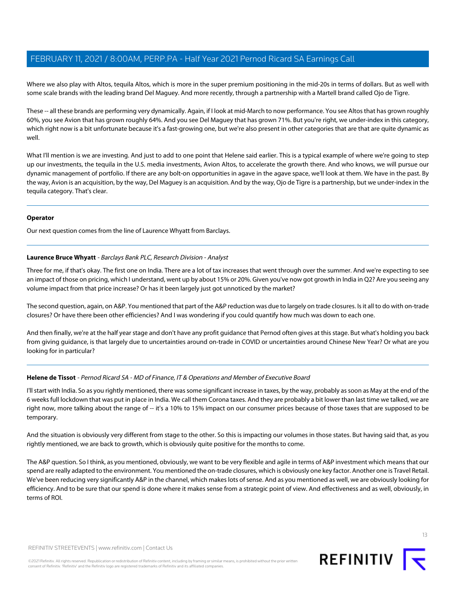Where we also play with Altos, tequila Altos, which is more in the super premium positioning in the mid-20s in terms of dollars. But as well with some scale brands with the leading brand Del Maguey. And more recently, through a partnership with a Martell brand called Ojo de Tigre.

These -- all these brands are performing very dynamically. Again, if I look at mid-March to now performance. You see Altos that has grown roughly 60%, you see Avion that has grown roughly 64%. And you see Del Maguey that has grown 71%. But you're right, we under-index in this category, which right now is a bit unfortunate because it's a fast-growing one, but we're also present in other categories that are that are quite dynamic as well.

What I'll mention is we are investing. And just to add to one point that Helene said earlier. This is a typical example of where we're going to step up our investments, the tequila in the U.S. media investments, Avion Altos, to accelerate the growth there. And who knows, we will pursue our dynamic management of portfolio. If there are any bolt-on opportunities in agave in the agave space, we'll look at them. We have in the past. By the way, Avion is an acquisition, by the way, Del Maguey is an acquisition. And by the way, Ojo de Tigre is a partnership, but we under-index in the tequila category. That's clear.

#### **Operator**

<span id="page-12-0"></span>Our next question comes from the line of Laurence Whyatt from Barclays.

#### **Laurence Bruce Whyatt** - Barclays Bank PLC, Research Division - Analyst

Three for me, if that's okay. The first one on India. There are a lot of tax increases that went through over the summer. And we're expecting to see an impact of those on pricing, which I understand, went up by about 15% or 20%. Given you've now got growth in India in Q2? Are you seeing any volume impact from that price increase? Or has it been largely just got unnoticed by the market?

The second question, again, on A&P. You mentioned that part of the A&P reduction was due to largely on trade closures. Is it all to do with on-trade closures? Or have there been other efficiencies? And I was wondering if you could quantify how much was down to each one.

And then finally, we're at the half year stage and don't have any profit guidance that Pernod often gives at this stage. But what's holding you back from giving guidance, is that largely due to uncertainties around on-trade in COVID or uncertainties around Chinese New Year? Or what are you looking for in particular?

#### **Helene de Tissot** - Pernod Ricard SA - MD of Finance, IT & Operations and Member of Executive Board

I'll start with India. So as you rightly mentioned, there was some significant increase in taxes, by the way, probably as soon as May at the end of the 6 weeks full lockdown that was put in place in India. We call them Corona taxes. And they are probably a bit lower than last time we talked, we are right now, more talking about the range of -- it's a 10% to 15% impact on our consumer prices because of those taxes that are supposed to be temporary.

And the situation is obviously very different from stage to the other. So this is impacting our volumes in those states. But having said that, as you rightly mentioned, we are back to growth, which is obviously quite positive for the months to come.

The A&P question. So I think, as you mentioned, obviously, we want to be very flexible and agile in terms of A&P investment which means that our spend are really adapted to the environment. You mentioned the on-trade closures, which is obviously one key factor. Another one is Travel Retail. We've been reducing very significantly A&P in the channel, which makes lots of sense. And as you mentioned as well, we are obviously looking for efficiency. And to be sure that our spend is done where it makes sense from a strategic point of view. And effectiveness and as well, obviously, in terms of ROI.

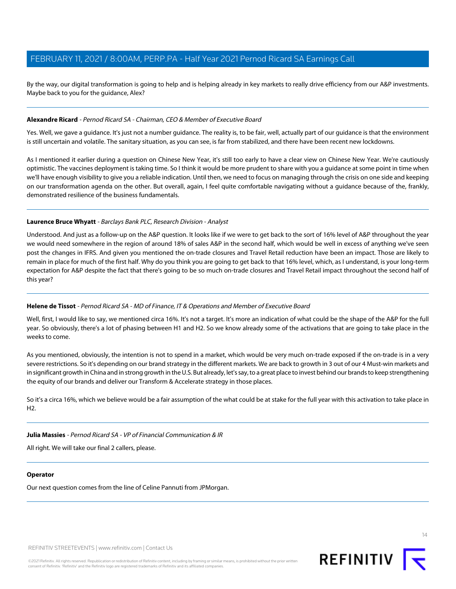By the way, our digital transformation is going to help and is helping already in key markets to really drive efficiency from our A&P investments. Maybe back to you for the guidance, Alex?

#### **Alexandre Ricard** - Pernod Ricard SA - Chairman, CEO & Member of Executive Board

Yes. Well, we gave a guidance. It's just not a number guidance. The reality is, to be fair, well, actually part of our guidance is that the environment is still uncertain and volatile. The sanitary situation, as you can see, is far from stabilized, and there have been recent new lockdowns.

As I mentioned it earlier during a question on Chinese New Year, it's still too early to have a clear view on Chinese New Year. We're cautiously optimistic. The vaccines deployment is taking time. So I think it would be more prudent to share with you a guidance at some point in time when we'll have enough visibility to give you a reliable indication. Until then, we need to focus on managing through the crisis on one side and keeping on our transformation agenda on the other. But overall, again, I feel quite comfortable navigating without a guidance because of the, frankly, demonstrated resilience of the business fundamentals.

#### **Laurence Bruce Whyatt** - Barclays Bank PLC, Research Division - Analyst

Understood. And just as a follow-up on the A&P question. It looks like if we were to get back to the sort of 16% level of A&P throughout the year we would need somewhere in the region of around 18% of sales A&P in the second half, which would be well in excess of anything we've seen post the changes in IFRS. And given you mentioned the on-trade closures and Travel Retail reduction have been an impact. Those are likely to remain in place for much of the first half. Why do you think you are going to get back to that 16% level, which, as I understand, is your long-term expectation for A&P despite the fact that there's going to be so much on-trade closures and Travel Retail impact throughout the second half of this year?

#### **Helene de Tissot** - Pernod Ricard SA - MD of Finance, IT & Operations and Member of Executive Board

Well, first, I would like to say, we mentioned circa 16%. It's not a target. It's more an indication of what could be the shape of the A&P for the full year. So obviously, there's a lot of phasing between H1 and H2. So we know already some of the activations that are going to take place in the weeks to come.

As you mentioned, obviously, the intention is not to spend in a market, which would be very much on-trade exposed if the on-trade is in a very severe restrictions. So it's depending on our brand strategy in the different markets. We are back to growth in 3 out of our 4 Must-win markets and in significant growth in China and in strong growth in the U.S. But already, let's say, to a great place to invest behind our brands to keep strengthening the equity of our brands and deliver our Transform & Accelerate strategy in those places.

So it's a circa 16%, which we believe would be a fair assumption of the what could be at stake for the full year with this activation to take place in H2.

#### **Julia Massies** - Pernod Ricard SA - VP of Financial Communication & IR

All right. We will take our final 2 callers, please.

#### **Operator**

Our next question comes from the line of Celine Pannuti from JPMorgan.

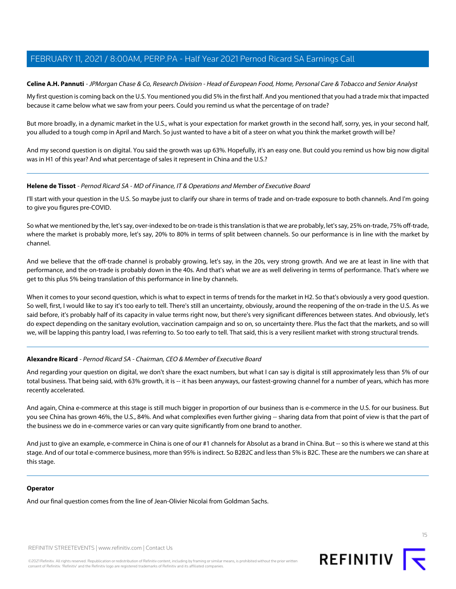## <span id="page-14-0"></span>**Celine A.H. Pannuti** - JPMorgan Chase & Co, Research Division - Head of European Food, Home, Personal Care & Tobacco and Senior Analyst

My first question is coming back on the U.S. You mentioned you did 5% in the first half. And you mentioned that you had a trade mix that impacted because it came below what we saw from your peers. Could you remind us what the percentage of on trade?

But more broadly, in a dynamic market in the U.S., what is your expectation for market growth in the second half, sorry, yes, in your second half, you alluded to a tough comp in April and March. So just wanted to have a bit of a steer on what you think the market growth will be?

And my second question is on digital. You said the growth was up 63%. Hopefully, it's an easy one. But could you remind us how big now digital was in H1 of this year? And what percentage of sales it represent in China and the U.S.?

#### **Helene de Tissot** - Pernod Ricard SA - MD of Finance, IT & Operations and Member of Executive Board

I'll start with your question in the U.S. So maybe just to clarify our share in terms of trade and on-trade exposure to both channels. And I'm going to give you figures pre-COVID.

So what we mentioned by the, let's say, over-indexed to be on-trade is this translation is that we are probably, let's say, 25% on-trade, 75% off-trade, where the market is probably more, let's say, 20% to 80% in terms of split between channels. So our performance is in line with the market by channel.

And we believe that the off-trade channel is probably growing, let's say, in the 20s, very strong growth. And we are at least in line with that performance, and the on-trade is probably down in the 40s. And that's what we are as well delivering in terms of performance. That's where we get to this plus 5% being translation of this performance in line by channels.

When it comes to your second question, which is what to expect in terms of trends for the market in H2. So that's obviously a very good question. So well, first, I would like to say it's too early to tell. There's still an uncertainty, obviously, around the reopening of the on-trade in the U.S. As we said before, it's probably half of its capacity in value terms right now, but there's very significant differences between states. And obviously, let's do expect depending on the sanitary evolution, vaccination campaign and so on, so uncertainty there. Plus the fact that the markets, and so will we, will be lapping this pantry load, I was referring to. So too early to tell. That said, this is a very resilient market with strong structural trends.

#### **Alexandre Ricard** - Pernod Ricard SA - Chairman, CEO & Member of Executive Board

And regarding your question on digital, we don't share the exact numbers, but what I can say is digital is still approximately less than 5% of our total business. That being said, with 63% growth, it is -- it has been anyways, our fastest-growing channel for a number of years, which has more recently accelerated.

And again, China e-commerce at this stage is still much bigger in proportion of our business than is e-commerce in the U.S. for our business. But you see China has grown 46%, the U.S., 84%. And what complexifies even further giving -- sharing data from that point of view is that the part of the business we do in e-commerce varies or can vary quite significantly from one brand to another.

And just to give an example, e-commerce in China is one of our #1 channels for Absolut as a brand in China. But -- so this is where we stand at this stage. And of our total e-commerce business, more than 95% is indirect. So B2B2C and less than 5% is B2C. These are the numbers we can share at this stage.

#### **Operator**

And our final question comes from the line of Jean-Olivier Nicolai from Goldman Sachs.

REFINITIV STREETEVENTS | [www.refinitiv.com](https://www.refinitiv.com/) | [Contact Us](https://www.refinitiv.com/en/contact-us)

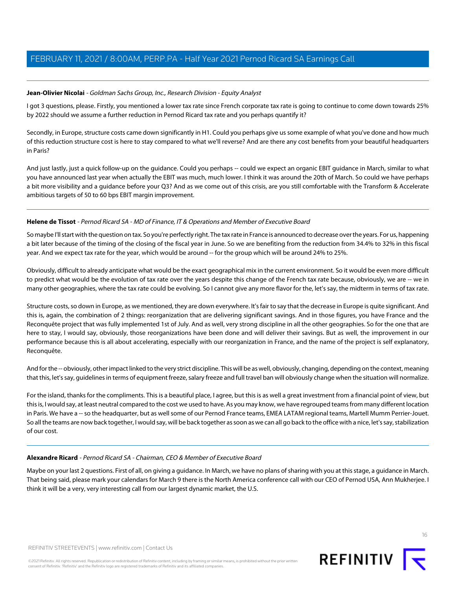## <span id="page-15-0"></span>**Jean-Olivier Nicolai** - Goldman Sachs Group, Inc., Research Division - Equity Analyst

I got 3 questions, please. Firstly, you mentioned a lower tax rate since French corporate tax rate is going to continue to come down towards 25% by 2022 should we assume a further reduction in Pernod Ricard tax rate and you perhaps quantify it?

Secondly, in Europe, structure costs came down significantly in H1. Could you perhaps give us some example of what you've done and how much of this reduction structure cost is here to stay compared to what we'll reverse? And are there any cost benefits from your beautiful headquarters in Paris?

And just lastly, just a quick follow-up on the guidance. Could you perhaps -- could we expect an organic EBIT guidance in March, similar to what you have announced last year when actually the EBIT was much, much lower. I think it was around the 20th of March. So could we have perhaps a bit more visibility and a guidance before your Q3? And as we come out of this crisis, are you still comfortable with the Transform & Accelerate ambitious targets of 50 to 60 bps EBIT margin improvement.

#### **Helene de Tissot** - Pernod Ricard SA - MD of Finance, IT & Operations and Member of Executive Board

So maybe I'll start with the question on tax. So you're perfectly right. The tax rate in France is announced to decrease over the years. For us, happening a bit later because of the timing of the closing of the fiscal year in June. So we are benefiting from the reduction from 34.4% to 32% in this fiscal year. And we expect tax rate for the year, which would be around -- for the group which will be around 24% to 25%.

Obviously, difficult to already anticipate what would be the exact geographical mix in the current environment. So it would be even more difficult to predict what would be the evolution of tax rate over the years despite this change of the French tax rate because, obviously, we are -- we in many other geographies, where the tax rate could be evolving. So I cannot give any more flavor for the, let's say, the midterm in terms of tax rate.

Structure costs, so down in Europe, as we mentioned, they are down everywhere. It's fair to say that the decrease in Europe is quite significant. And this is, again, the combination of 2 things: reorganization that are delivering significant savings. And in those figures, you have France and the Reconquête project that was fully implemented 1st of July. And as well, very strong discipline in all the other geographies. So for the one that are here to stay, I would say, obviously, those reorganizations have been done and will deliver their savings. But as well, the improvement in our performance because this is all about accelerating, especially with our reorganization in France, and the name of the project is self explanatory, Reconquête.

And for the -- obviously, other impact linked to the very strict discipline. This will be as well, obviously, changing, depending on the context, meaning that this, let's say, guidelines in terms of equipment freeze, salary freeze and full travel ban will obviously change when the situation will normalize.

For the island, thanks for the compliments. This is a beautiful place, I agree, but this is as well a great investment from a financial point of view, but this is, I would say, at least neutral compared to the cost we used to have. As you may know, we have regrouped teams from many different location in Paris. We have a -- so the headquarter, but as well some of our Pernod France teams, EMEA LATAM regional teams, Martell Mumm Perrier-Jouet. So all the teams are now back together, I would say, will be back together as soon as we can all go back to the office with a nice, let's say, stabilization of our cost.

#### **Alexandre Ricard** - Pernod Ricard SA - Chairman, CEO & Member of Executive Board

Maybe on your last 2 questions. First of all, on giving a guidance. In March, we have no plans of sharing with you at this stage, a guidance in March. That being said, please mark your calendars for March 9 there is the North America conference call with our CEO of Pernod USA, Ann Mukherjee. I think it will be a very, very interesting call from our largest dynamic market, the U.S.